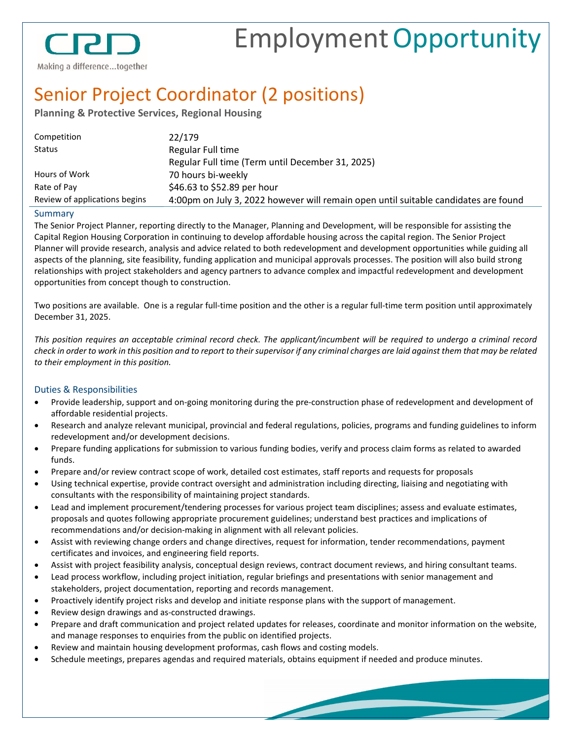

# EmploymentOpportunity

Making a difference...together

## Senior Project Coordinator (2 positions)

**Planning & Protective Services, Regional Housing**

| Competition                   | 22/179                                                                              |
|-------------------------------|-------------------------------------------------------------------------------------|
| <b>Status</b>                 | Regular Full time                                                                   |
|                               | Regular Full time (Term until December 31, 2025)                                    |
| Hours of Work                 | 70 hours bi-weekly                                                                  |
| Rate of Pay                   | \$46.63 to \$52.89 per hour                                                         |
| Review of applications begins | 4:00pm on July 3, 2022 however will remain open until suitable candidates are found |
|                               |                                                                                     |

#### Summary

The Senior Project Planner, reporting directly to the Manager, Planning and Development, will be responsible for assisting the Capital Region Housing Corporation in continuing to develop affordable housing across the capital region. The Senior Project Planner will provide research, analysis and advice related to both redevelopment and development opportunities while guiding all aspects of the planning, site feasibility, funding application and municipal approvals processes. The position will also build strong relationships with project stakeholders and agency partners to advance complex and impactful redevelopment and development opportunities from concept though to construction.

Two positions are available. One is a regular full-time position and the other is a regular full-time term position until approximately December 31, 2025.

*This position requires an acceptable criminal record check. The applicant/incumbent will be required to undergo a criminal record check in order to work in this position and to report to their supervisor if any criminal charges are laid against them that may be related to their employment in this position.*

#### Duties & Responsibilities

- Provide leadership, support and on-going monitoring during the pre-construction phase of redevelopment and development of affordable residential projects.
- Research and analyze relevant municipal, provincial and federal regulations, policies, programs and funding guidelines to inform redevelopment and/or development decisions.
- Prepare funding applications for submission to various funding bodies, verify and process claim forms as related to awarded funds.
- Prepare and/or review contract scope of work, detailed cost estimates, staff reports and requests for proposals
- Using technical expertise, provide contract oversight and administration including directing, liaising and negotiating with consultants with the responsibility of maintaining project standards.
- Lead and implement procurement/tendering processes for various project team disciplines; assess and evaluate estimates, proposals and quotes following appropriate procurement guidelines; understand best practices and implications of recommendations and/or decision-making in alignment with all relevant policies.
- Assist with reviewing change orders and change directives, request for information, tender recommendations, payment certificates and invoices, and engineering field reports.
- Assist with project feasibility analysis, conceptual design reviews, contract document reviews, and hiring consultant teams.
- Lead process workflow, including project initiation, regular briefings and presentations with senior management and stakeholders, project documentation, reporting and records management.
- Proactively identify project risks and develop and initiate response plans with the support of management.
- Review design drawings and as-constructed drawings.
- Prepare and draft communication and project related updates for releases, coordinate and monitor information on the website, and manage responses to enquiries from the public on identified projects.
- Review and maintain housing development proformas, cash flows and costing models.
- Schedule meetings, prepares agendas and required materials, obtains equipment if needed and produce minutes.